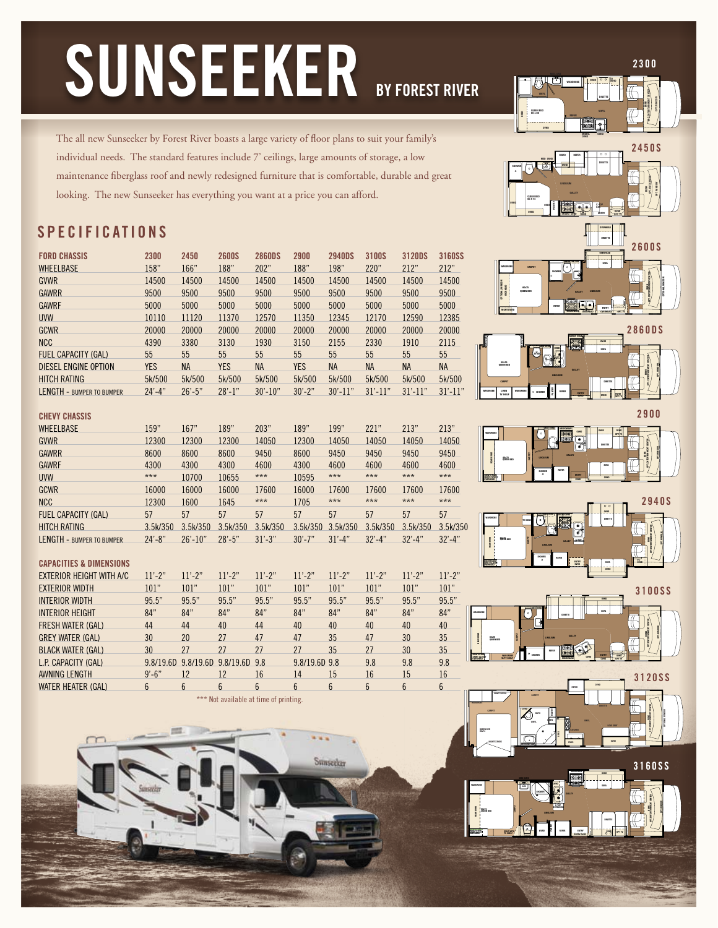# **SUNSEEKER BY FOREST RIVER**

**VINYL QUEEN BED 60 x 80 REFER OVHD OVHD WARDROBE OVHD O O IV OVHD DINETTE VINYL BUNK OPT. ENTERTAINMENT CENTER OPT. WINDOW**

The all new Sunseeker by Forest River boasts a large variety of floor plans to suit your family's individual needs. The standard features include 7' ceilings, large amounts of storage, a low maintenance fiberglass roof and newly redesigned furniture that is comfortable, durable and great looking. The new Sunseeker has everything you want at a price you can afford.

# **S P E C IFI C A TION S**

| <b>FORD CHASSIS</b>              | 2300        | 2450        | <b>2600S</b> | <b>2860DS</b> | 2900       | <b>2940DS</b> | 3100S        | 3120DS      | 3160SS      |
|----------------------------------|-------------|-------------|--------------|---------------|------------|---------------|--------------|-------------|-------------|
| <b>WHEELBASE</b>                 | 158"        | 166"        | 188"         | 202"          | 188"       | 198"          | 220"         | 212"        | 212"        |
| <b>GVWR</b>                      | 14500       | 14500       | 14500        | 14500         | 14500      | 14500         | 14500        | 14500       | 14500       |
| <b>GAWRR</b>                     | 9500        | 9500        | 9500         | 9500          | 9500       | 9500          | 9500         | 9500        | 9500        |
| <b>GAWRF</b>                     | 5000        | 5000        | 5000         | 5000          | 5000       | 5000          | 5000         | 5000        | 5000        |
| <b>UVW</b>                       | 10110       | 11120       | 11370        | 12570         | 11350      | 12345         | 12170        | 12590       | 12385       |
| <b>GCWR</b>                      | 20000       | 20000       | 20000        | 20000         | 20000      | 20000         | 20000        | 20000       | 20000       |
| <b>NCC</b>                       | 4390        | 3380        | 3130         | 1930          | 3150       | 2155          | 2330         | 1910        | 2115        |
| <b>FUEL CAPACITY (GAL)</b>       | 55          | 55          | 55           | 55            | 55         | 55            | 55           | 55          | 55          |
| DIESEL ENGINE OPTION             | YES         | <b>NA</b>   | YES          | <b>NA</b>     | <b>YES</b> | <b>NA</b>     | <b>NA</b>    | <b>NA</b>   | <b>NA</b>   |
| <b>HITCH RATING</b>              | 5k/500      | 5k/500      | 5k/500       | 5k/500        | 5k/500     | 5k/500        | 5k/500       | 5k/500      | 5k/500      |
| <b>LENGTH - BUMPER TO BUMPER</b> | $24' - 4''$ | $26' - 5''$ | $28' - 1$ "  | $30' - 10"$   | $30' - 2"$ | $30' - 11"$   | $31' - 11''$ | $31' - 11'$ | $31' - 11'$ |

# **CHEVY CHASSIS**

| <b>WHEELBASE</b>                 | 159"        | 167"         | 189"       | 203"        | 189"       | 199"        | 221"        | 213"        | 213"        |
|----------------------------------|-------------|--------------|------------|-------------|------------|-------------|-------------|-------------|-------------|
| <b>GVWR</b>                      | 12300       | 12300        | 12300      | 14050       | 12300      | 14050       | 14050       | 14050       | 14050       |
| <b>GAWRR</b>                     | 8600        | 8600         | 8600       | 9450        | 8600       | 9450        | 9450        | 9450        | 9450        |
| <b>GAWRF</b>                     | 4300        | 4300         | 4300       | 4600        | 4300       | 4600        | 4600        | 4600        | 4600        |
| <b>UVW</b>                       | ***         | 10700        | 10655      | ***         | 10595      | $***$       | ***         | ***         | ***         |
| <b>GCWR</b>                      | 16000       | 16000        | 16000      | 17600       | 16000      | 17600       | 17600       | 17600       | 17600       |
| <b>NCC</b>                       | 12300       | 1600         | 1645       | $***$       | 1705       | $***$       | ***         | ***         | ***         |
| <b>FUEL CAPACITY (GAL)</b>       | 57          | 57           | 57         | 57          | 57         | 57          | 57          | 57          | 57          |
| <b>HITCH RATING</b>              | 3.5k/350    | 3.5k/350     | 3.5k/350   | 3.5k/350    | 3.5k/350   | 3.5k/350    | 3.5k/350    | 3.5k/350    | 3.5k/350    |
| <b>LENGTH - BUMPER TO BUMPER</b> | $24' - 8''$ | $26' - 10''$ | $28' - 5"$ | $31' - 3''$ | $30' - 7"$ | $31' - 4''$ | $32' - 4''$ | $32' - 4''$ | $32' - 4''$ |

# **CAPACITIES & DIMENSIONS**

| <b>EXTERIOR HEIGHT WITH A/C</b> | $11' - 2''$ | $11' - 2''$      | $11' - 2''$         | $11' - 2''$     | $11' - 2''$   | $11' - 2''$  | $11' - 2''$ | $11' - 2''$ | $11' - 2''$ |
|---------------------------------|-------------|------------------|---------------------|-----------------|---------------|--------------|-------------|-------------|-------------|
| <b>EXTERIOR WIDTH</b>           | 101"        | 101"             | 101"                | 101"            | 101"          | 101"         | 101"        | 101"        | 101"        |
| <b>INTERIOR WIDTH</b>           | 95.5"       | 95.5"            | 95.5"               | 95.5"           | 95.5"         | 95.5"        | 95.5"       | 95.5"       | 95.5"       |
| <b>INTERIOR HEIGHT</b>          | 84"         | 84"              | 84"                 | 84"             | 84"           | 84"          | 84"         | 84"         | 84"         |
| <b>FRESH WATER (GAL)</b>        | 44          | 44               | 40                  | 44              | 40            | 40           | 40          | 40          | 40          |
| <b>GREY WATER (GAL)</b>         | 30          | 20               | 27                  | 47              | 47            | 35           | 47          | 30          | 35          |
| <b>BLACK WATER (GAL)</b>        | 30          | 27               | 27                  | 27              | 27            | 35           | 27          | 30          | 35          |
| L.P. CAPACITY (GAL)             | 9.8/19.6D   |                  | 9.8/19.6D 9.8/19.6D | 98              | 9.8/19.6D 9.8 |              | 9.8         | 9.8         | 9.8         |
| AWNING LENGTH                   | $9' - 6''$  | 12               | 12                  | 16              | 14            | 15           | 16          | 15          | 16          |
| <b>WATER HEATER (GAL)</b>       | 6           | $6 \overline{6}$ | 6                   | $6\overline{6}$ | <sub>6</sub>  | <sub>6</sub> | 6           | 6           | 6           |
|                                 |             |                  |                     |                 |               |              |             |             |             |

\*\*\* Not available at time of printing.

Sunseeker





**WARDROBE OVHD OVHD**





**2 3 0 0**